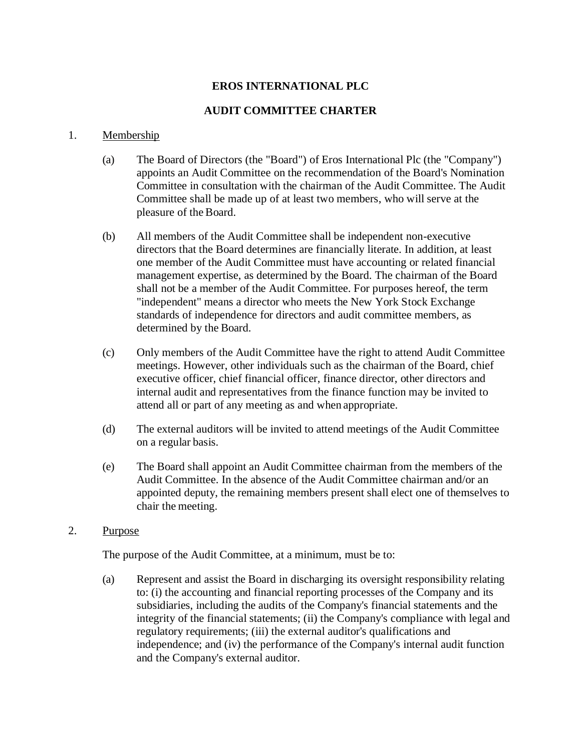## **EROS INTERNATIONAL PLC**

## **AUDIT COMMITTEE CHARTER**

## 1. Membership

- (a) The Board of Directors (the "Board") of Eros International Plc (the "Company") appoints an Audit Committee on the recommendation of the Board's Nomination Committee in consultation with the chairman of the Audit Committee. The Audit Committee shall be made up of at least two members, who will serve at the pleasure of the Board.
- (b) All members of the Audit Committee shall be independent non-executive directors that the Board determines are financially literate. In addition, at least one member of the Audit Committee must have accounting or related financial management expertise, as determined by the Board. The chairman of the Board shall not be a member of the Audit Committee. For purposes hereof, the term "independent" means a director who meets the New York Stock Exchange standards of independence for directors and audit committee members, as determined by the Board.
- (c) Only members of the Audit Committee have the right to attend Audit Committee meetings. However, other individuals such as the chairman of the Board, chief executive officer, chief financial officer, finance director, other directors and internal audit and representatives from the finance function may be invited to attend all or part of any meeting as and when appropriate.
- (d) The external auditors will be invited to attend meetings of the Audit Committee on a regular basis.
- (e) The Board shall appoint an Audit Committee chairman from the members of the Audit Committee. In the absence of the Audit Committee chairman and/or an appointed deputy, the remaining members present shall elect one of themselves to chair the meeting.
- 2. Purpose

The purpose of the Audit Committee, at a minimum, must be to:

(a) Represent and assist the Board in discharging its oversight responsibility relating to: (i) the accounting and financial reporting processes of the Company and its subsidiaries, including the audits of the Company's financial statements and the integrity of the financial statements; (ii) the Company's compliance with legal and regulatory requirements; (iii) the external auditor's qualifications and independence; and (iv) the performance of the Company's internal audit function and the Company's external auditor.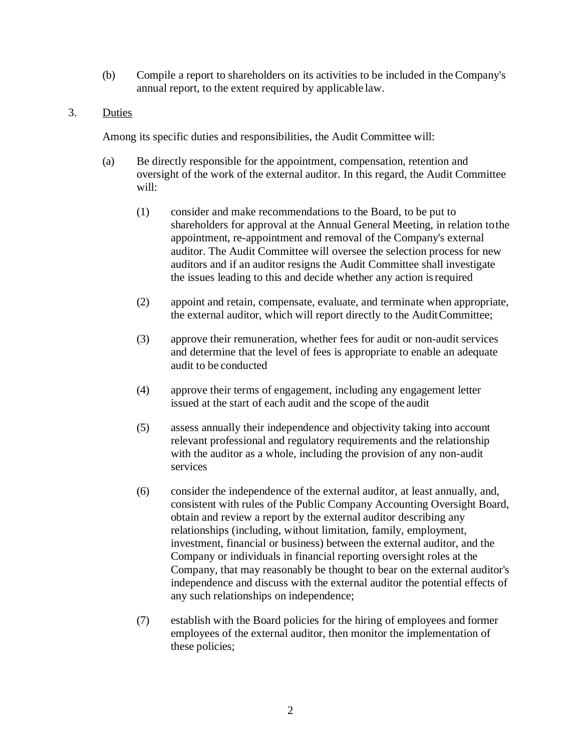- (b) Compile a report to shareholders on its activities to be included in the Company's annual report, to the extent required by applicable law.
- 3. Duties

Among its specific duties and responsibilities, the Audit Committee will:

- (a) Be directly responsible for the appointment, compensation, retention and oversight of the work of the external auditor. In this regard, the Audit Committee will:
	- (1) consider and make recommendations to the Board, to be put to shareholders for approval at the Annual General Meeting, in relation tothe appointment, re-appointment and removal of the Company's external auditor. The Audit Committee will oversee the selection process for new auditors and if an auditor resigns the Audit Committee shall investigate the issues leading to this and decide whether any action isrequired
	- (2) appoint and retain, compensate, evaluate, and terminate when appropriate, the external auditor, which will report directly to the AuditCommittee;
	- (3) approve their remuneration, whether fees for audit or non-audit services and determine that the level of fees is appropriate to enable an adequate audit to be conducted
	- (4) approve their terms of engagement, including any engagement letter issued at the start of each audit and the scope of the audit
	- (5) assess annually their independence and objectivity taking into account relevant professional and regulatory requirements and the relationship with the auditor as a whole, including the provision of any non-audit services
	- (6) consider the independence of the external auditor, at least annually, and, consistent with rules of the Public Company Accounting Oversight Board, obtain and review a report by the external auditor describing any relationships (including, without limitation, family, employment, investment, financial or business) between the external auditor, and the Company or individuals in financial reporting oversight roles at the Company, that may reasonably be thought to bear on the external auditor's independence and discuss with the external auditor the potential effects of any such relationships on independence;
	- (7) establish with the Board policies for the hiring of employees and former employees of the external auditor, then monitor the implementation of these policies;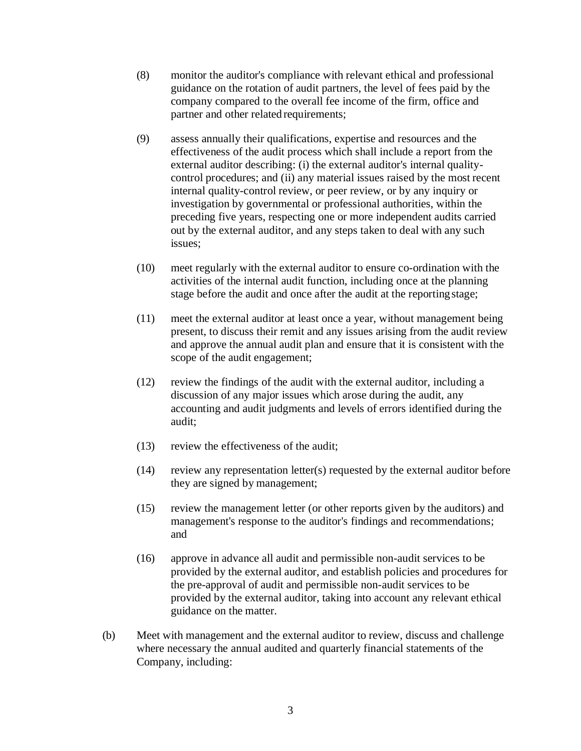- (8) monitor the auditor's compliance with relevant ethical and professional guidance on the rotation of audit partners, the level of fees paid by the company compared to the overall fee income of the firm, office and partner and other related requirements;
- (9) assess annually their qualifications, expertise and resources and the effectiveness of the audit process which shall include a report from the external auditor describing: (i) the external auditor's internal qualitycontrol procedures; and (ii) any material issues raised by the most recent internal quality-control review, or peer review, or by any inquiry or investigation by governmental or professional authorities, within the preceding five years, respecting one or more independent audits carried out by the external auditor, and any steps taken to deal with any such issues;
- (10) meet regularly with the external auditor to ensure co-ordination with the activities of the internal audit function, including once at the planning stage before the audit and once after the audit at the reportingstage;
- (11) meet the external auditor at least once a year, without management being present, to discuss their remit and any issues arising from the audit review and approve the annual audit plan and ensure that it is consistent with the scope of the audit engagement;
- (12) review the findings of the audit with the external auditor, including a discussion of any major issues which arose during the audit, any accounting and audit judgments and levels of errors identified during the audit;
- (13) review the effectiveness of the audit;
- (14) review any representation letter(s) requested by the external auditor before they are signed by management;
- (15) review the management letter (or other reports given by the auditors) and management's response to the auditor's findings and recommendations; and
- (16) approve in advance all audit and permissible non-audit services to be provided by the external auditor, and establish policies and procedures for the pre-approval of audit and permissible non-audit services to be provided by the external auditor, taking into account any relevant ethical guidance on the matter.
- (b) Meet with management and the external auditor to review, discuss and challenge where necessary the annual audited and quarterly financial statements of the Company, including: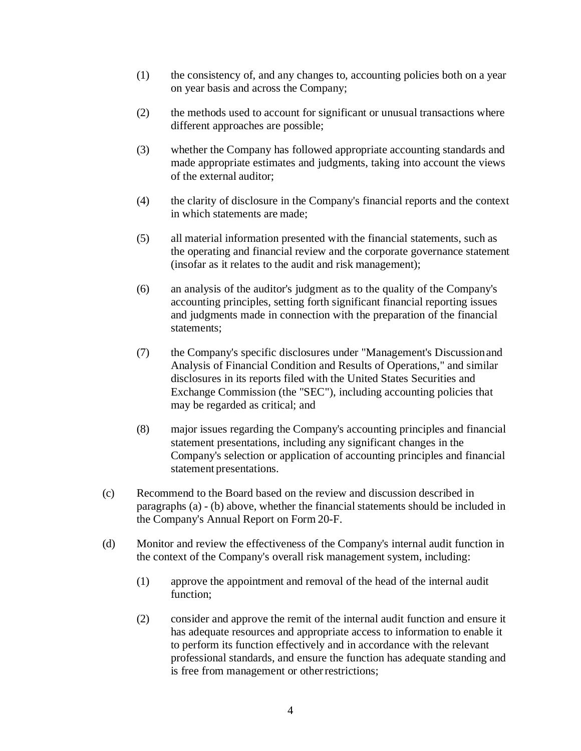- (1) the consistency of, and any changes to, accounting policies both on a year on year basis and across the Company;
- (2) the methods used to account for significant or unusual transactions where different approaches are possible;
- (3) whether the Company has followed appropriate accounting standards and made appropriate estimates and judgments, taking into account the views of the external auditor;
- (4) the clarity of disclosure in the Company's financial reports and the context in which statements are made;
- (5) all material information presented with the financial statements, such as the operating and financial review and the corporate governance statement (insofar as it relates to the audit and risk management);
- (6) an analysis of the auditor's judgment as to the quality of the Company's accounting principles, setting forth significant financial reporting issues and judgments made in connection with the preparation of the financial statements;
- (7) the Company's specific disclosures under "Management's Discussionand Analysis of Financial Condition and Results of Operations," and similar disclosures in its reports filed with the United States Securities and Exchange Commission (the "SEC"), including accounting policies that may be regarded as critical; and
- (8) major issues regarding the Company's accounting principles and financial statement presentations, including any significant changes in the Company's selection or application of accounting principles and financial statement presentations.
- (c) Recommend to the Board based on the review and discussion described in paragraphs (a) - (b) above, whether the financial statements should be included in the Company's Annual Report on Form 20-F.
- (d) Monitor and review the effectiveness of the Company's internal audit function in the context of the Company's overall risk management system, including:
	- (1) approve the appointment and removal of the head of the internal audit function;
	- (2) consider and approve the remit of the internal audit function and ensure it has adequate resources and appropriate access to information to enable it to perform its function effectively and in accordance with the relevant professional standards, and ensure the function has adequate standing and is free from management or other restrictions;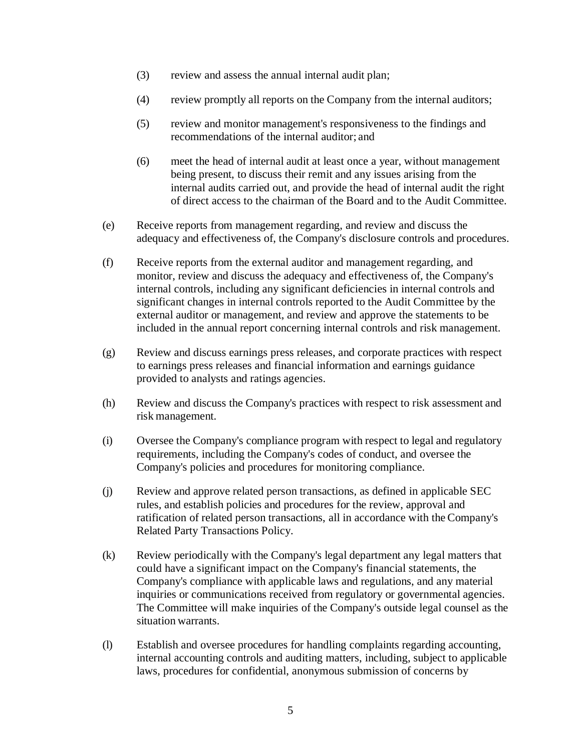- (3) review and assess the annual internal audit plan;
- (4) review promptly all reports on the Company from the internal auditors;
- (5) review and monitor management's responsiveness to the findings and recommendations of the internal auditor; and
- (6) meet the head of internal audit at least once a year, without management being present, to discuss their remit and any issues arising from the internal audits carried out, and provide the head of internal audit the right of direct access to the chairman of the Board and to the Audit Committee.
- (e) Receive reports from management regarding, and review and discuss the adequacy and effectiveness of, the Company's disclosure controls and procedures.
- (f) Receive reports from the external auditor and management regarding, and monitor, review and discuss the adequacy and effectiveness of, the Company's internal controls, including any significant deficiencies in internal controls and significant changes in internal controls reported to the Audit Committee by the external auditor or management, and review and approve the statements to be included in the annual report concerning internal controls and risk management.
- (g) Review and discuss earnings press releases, and corporate practices with respect to earnings press releases and financial information and earnings guidance provided to analysts and ratings agencies.
- (h) Review and discuss the Company's practices with respect to risk assessment and risk management.
- (i) Oversee the Company's compliance program with respect to legal and regulatory requirements, including the Company's codes of conduct, and oversee the Company's policies and procedures for monitoring compliance.
- (j) Review and approve related person transactions, as defined in applicable SEC rules, and establish policies and procedures for the review, approval and ratification of related person transactions, all in accordance with the Company's Related Party Transactions Policy.
- (k) Review periodically with the Company's legal department any legal matters that could have a significant impact on the Company's financial statements, the Company's compliance with applicable laws and regulations, and any material inquiries or communications received from regulatory or governmental agencies. The Committee will make inquiries of the Company's outside legal counsel as the situation warrants.
- (l) Establish and oversee procedures for handling complaints regarding accounting, internal accounting controls and auditing matters, including, subject to applicable laws, procedures for confidential, anonymous submission of concerns by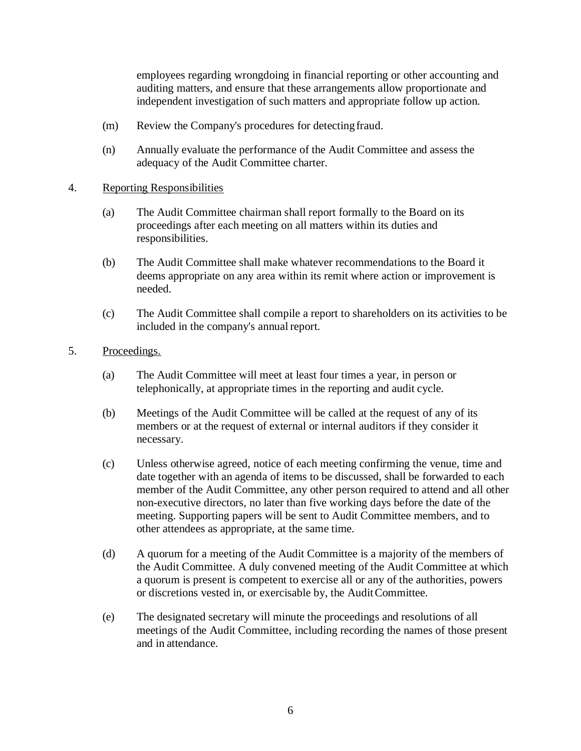employees regarding wrongdoing in financial reporting or other accounting and auditing matters, and ensure that these arrangements allow proportionate and independent investigation of such matters and appropriate follow up action.

- (m) Review the Company's procedures for detectingfraud.
- (n) Annually evaluate the performance of the Audit Committee and assess the adequacy of the Audit Committee charter.

## 4. Reporting Responsibilities

- (a) The Audit Committee chairman shall report formally to the Board on its proceedings after each meeting on all matters within its duties and responsibilities.
- (b) The Audit Committee shall make whatever recommendations to the Board it deems appropriate on any area within its remit where action or improvement is needed.
- (c) The Audit Committee shall compile a report to shareholders on its activities to be included in the company's annual report.
- 5. Proceedings.
	- (a) The Audit Committee will meet at least four times a year, in person or telephonically, at appropriate times in the reporting and audit cycle.
	- (b) Meetings of the Audit Committee will be called at the request of any of its members or at the request of external or internal auditors if they consider it necessary.
	- (c) Unless otherwise agreed, notice of each meeting confirming the venue, time and date together with an agenda of items to be discussed, shall be forwarded to each member of the Audit Committee, any other person required to attend and all other non-executive directors, no later than five working days before the date of the meeting. Supporting papers will be sent to Audit Committee members, and to other attendees as appropriate, at the same time.
	- (d) A quorum for a meeting of the Audit Committee is a majority of the members of the Audit Committee. A duly convened meeting of the Audit Committee at which a quorum is present is competent to exercise all or any of the authorities, powers or discretions vested in, or exercisable by, the AuditCommittee.
	- (e) The designated secretary will minute the proceedings and resolutions of all meetings of the Audit Committee, including recording the names of those present and in attendance.